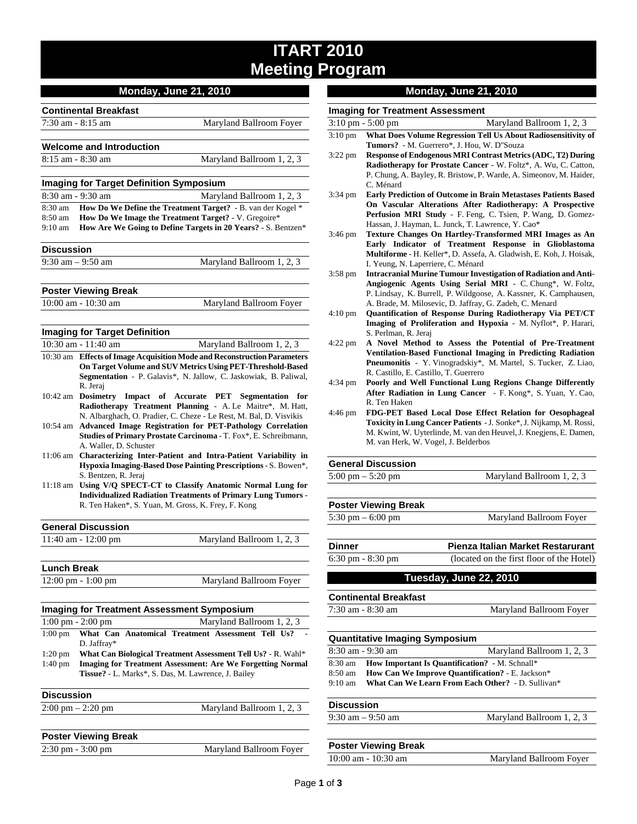## **ITART 2010 Meeting Program**

|                   |                                                            | <b>Monday, June 21, 2010</b>                                                                                                    |
|-------------------|------------------------------------------------------------|---------------------------------------------------------------------------------------------------------------------------------|
|                   | <b>Continental Breakfast</b>                               |                                                                                                                                 |
|                   | $7:30$ am $-8:15$ am                                       | Maryland Ballroom Foyer                                                                                                         |
|                   |                                                            |                                                                                                                                 |
|                   | <b>Welcome and Introduction</b>                            |                                                                                                                                 |
|                   | $8:15$ am $-8:30$ am                                       | Maryland Ballroom 1, 2, 3                                                                                                       |
|                   |                                                            |                                                                                                                                 |
|                   | <b>Imaging for Target Definition Symposium</b>             |                                                                                                                                 |
|                   | 8:30 am - 9:30 am                                          | Maryland Ballroom 1, 2, 3                                                                                                       |
| 8:30 am           |                                                            | How Do We Define the Treatment Target? - B. van der Kogel *                                                                     |
| 8:50 am           |                                                            | How Do We Image the Treatment Target? - V. Gregoire*                                                                            |
| $9:10 \text{ am}$ |                                                            | How Are We Going to Define Targets in 20 Years? - S. Bentzen*                                                                   |
| <b>Discussion</b> |                                                            |                                                                                                                                 |
|                   | $9:30$ am $-9:50$ am                                       | Maryland Ballroom 1, 2, 3                                                                                                       |
|                   |                                                            |                                                                                                                                 |
|                   | <b>Poster Viewing Break</b>                                |                                                                                                                                 |
|                   | 10:00 am - 10:30 am                                        | Maryland Ballroom Foyer                                                                                                         |
|                   |                                                            |                                                                                                                                 |
|                   | <b>Imaging for Target Definition</b>                       |                                                                                                                                 |
|                   | $10:30$ am - $11:40$ am                                    | Maryland Ballroom 1, 2, 3                                                                                                       |
|                   |                                                            | 10:30 am Effects of Image Acquisition Mode and Reconstruction Parameters                                                        |
|                   | On Target Volume and SUV Metrics Using PET-Threshold-Based |                                                                                                                                 |
|                   |                                                            | Segmentation - P. Galavis*, N. Jallow, C. Jaskowiak, B. Paliwal,                                                                |
|                   | R. Jeraj                                                   |                                                                                                                                 |
| 10:42 am          |                                                            | Dosimetry Impact of Accurate PET Segmentation for                                                                               |
|                   |                                                            | Radiotherapy Treatment Planning - A. Le Maitre*, M. Hatt,<br>N. Albarghach, O. Pradier, C. Cheze - Le Rest, M. Bal, D. Visvikis |
|                   |                                                            | 10:54 am Advanced Image Registration for PET-Pathology Correlation                                                              |
|                   |                                                            | Studies of Primary Prostate Carcinoma - T. Fox*, E. Schreibmann,                                                                |
|                   | A. Waller, D. Schuster                                     |                                                                                                                                 |
|                   |                                                            | 11:06 am Characterizing Inter-Patient and Intra-Patient Variability in                                                          |
|                   |                                                            | Hypoxia Imaging-Based Dose Painting Prescriptions - S. Bowen*,                                                                  |
|                   | S. Bentzen, R. Jeraj                                       |                                                                                                                                 |

11:18 am **Using V/Q SPECT-CT to Classify Anatomic Normal Lung for Individualized Radiation Treatments of Primary Lung Tumors** - R. Ten Haken\*, S. Yuan, M. Gross, K. Frey, F. Kong

| <b>General Discussion</b> |                           |
|---------------------------|---------------------------|
| $11:40$ am $-12:00$ pm    | Maryland Ballroom 1, 2, 3 |
|                           |                           |

| <b>Lunch Break</b>                   |                         |
|--------------------------------------|-------------------------|
| $12:00 \text{ pm} - 1:00 \text{ pm}$ | Maryland Ballroom Foyer |

| <b>Imaging for Treatment Assessment Symposium</b> |                                                                   |  |                                                              |
|---------------------------------------------------|-------------------------------------------------------------------|--|--------------------------------------------------------------|
|                                                   | $1:00 \text{ pm} - 2:00 \text{ pm}$                               |  | Maryland Ballroom 1, 2, 3                                    |
| $1:00$ pm                                         | D. Jaffray*                                                       |  | What Can Anatomical Treatment Assessment Tell Us?            |
| $1:20$ pm                                         |                                                                   |  | What Can Biological Treatment Assessment Tell Us? - R. Wahl* |
| $1:40 \text{ pm}$                                 | <b>Imaging for Treatment Assessment: Are We Forgetting Normal</b> |  |                                                              |
|                                                   |                                                                   |  | <b>Tissue?</b> - L. Marks*, S. Das, M. Lawrence, J. Bailey   |
| <b>Discussion</b>                                 |                                                                   |  |                                                              |
|                                                   | $2:00 \text{ pm} - 2:20 \text{ pm}$                               |  | Maryland Ballroom 1, 2, 3                                    |
|                                                   |                                                                   |  |                                                              |
|                                                   | <b>Dooter Viewing Prook</b>                                       |  |                                                              |

| <b>PUSIBL VIEWING DIBAN</b>         |                         |
|-------------------------------------|-------------------------|
| $2:30 \text{ pm} - 3:00 \text{ pm}$ | Maryland Ballroom Foyer |

### **Monday, June 21, 2010**

# **Imaging for Treatment Assessment**<br> $3:10 \text{ pm} - 5:00 \text{ pm}$

|                   | Maryland Ballroom 1, 2, 3<br>3:10 pm - 5:00 pm                                                                                            |
|-------------------|-------------------------------------------------------------------------------------------------------------------------------------------|
| $3:10$ pm         | What Does Volume Regression Tell Us About Radiosensitivity of                                                                             |
|                   | Tumors? - M. Guerrero*, J. Hou, W. D"Souza                                                                                                |
| 3:22 pm           | <b>Response of Endogenous MRI Contrast Metrics (ADC, T2) During</b>                                                                       |
|                   | Radiotherapy for Prostate Cancer - W. Foltz*, A. Wu, C. Catton,<br>P. Chung, A. Bayley, R. Bristow, P. Warde, A. Simeonov, M. Haider,     |
|                   | C. Ménard                                                                                                                                 |
| $3:34 \text{ pm}$ | <b>Early Prediction of Outcome in Brain Metastases Patients Based</b>                                                                     |
|                   | On Vascular Alterations After Radiotherapy: A Prospective                                                                                 |
|                   | Perfusion MRI Study - F. Feng, C. Tsien, P. Wang, D. Gomez-                                                                               |
|                   | Hassan, J. Hayman, L. Junck, T. Lawrence, Y. Cao*                                                                                         |
| $3:46 \text{ pm}$ | Texture Changes On Hartley-Transformed MRI Images as An                                                                                   |
|                   | Early Indicator of Treatment Response in Glioblastoma                                                                                     |
|                   | Multiforme - H. Keller*, D. Assefa, A. Gladwish, E. Koh, J. Hoisak,<br>I. Yeung, N. Laperriere, C. Ménard                                 |
| $3:58 \text{ pm}$ | <b>Intracranial Murine Tumour Investigation of Radiation and Anti-</b>                                                                    |
|                   | Angiogenic Agents Using Serial MRI - C. Chung*, W. Foltz,                                                                                 |
|                   | P. Lindsay, K. Burrell, P. Wildgoose, A. Kassner, K. Camphausen,                                                                          |
|                   | A. Brade, M. Milosevic, D. Jaffray, G. Zadeh, C. Menard                                                                                   |
| $4:10 \text{ pm}$ | Quantification of Response During Radiotherapy Via PET/CT                                                                                 |
|                   | Imaging of Proliferation and Hypoxia - M. Nyflot*, P. Harari,                                                                             |
|                   | S. Perlman, R. Jeraj<br>A Novel Method to Assess the Potential of Pre-Treatment                                                           |
| $4:22$ pm         | Ventilation-Based Functional Imaging in Predicting Radiation                                                                              |
|                   | Pneumonitis - Y. Vinogradskiy*, M. Martel, S. Tucker, Z. Liao,                                                                            |
|                   | R. Castillo, E. Castillo, T. Guerrero                                                                                                     |
| 4:34 pm           | Poorly and Well Functional Lung Regions Change Differently                                                                                |
|                   | After Radiation in Lung Cancer - F. Kong*, S. Yuan, Y. Cao,                                                                               |
|                   | R. Ten Haken                                                                                                                              |
| 4:46 pm           | FDG-PET Based Local Dose Effect Relation for Oesophageal                                                                                  |
|                   | Toxicity in Lung Cancer Patients - J. Sonke*, J. Nijkamp, M. Rossi,<br>M. Kwint, W. Uyterlinde, M. van den Heuvel, J. Knegjens, E. Damen, |
|                   | M. van Herk, W. Vogel, J. Belderbos                                                                                                       |
|                   |                                                                                                                                           |
|                   | <b>General Discussion</b>                                                                                                                 |
|                   | $5:00$ pm $-5:20$ pm<br>Maryland Ballroom 1, 2, 3                                                                                         |
|                   |                                                                                                                                           |
|                   | <b>Poster Viewing Break</b>                                                                                                               |
|                   | $5:30$ pm $-6:00$ pm<br>Maryland Ballroom Foyer                                                                                           |
|                   |                                                                                                                                           |
| Dinner            | Pienza Italian Market Restarurant                                                                                                         |
|                   | 6:30 pm - 8:30 pm<br>(located on the first floor of the Hotel)                                                                            |
|                   | Tuesday, June 22, 2010                                                                                                                    |
|                   |                                                                                                                                           |
|                   | <b>Continental Breakfast</b>                                                                                                              |
|                   | 7:30 am - 8:30 am<br>Maryland Ballroom Foyer                                                                                              |
|                   |                                                                                                                                           |
|                   | <b>Quantitative Imaging Symposium</b>                                                                                                     |
|                   | 8:30 am - 9:30 am<br>Maryland Ballroom 1, 2, 3                                                                                            |
| 8:30 am           | How Important Is Quantification? - M. Schnall*                                                                                            |
| 8:50 am           | How Can We Improve Quantification? - E. Jackson*<br>What Can We Learn From Each Other? - D. Sullivan*                                     |
| $9:10 \text{ am}$ |                                                                                                                                           |
| Discussion        |                                                                                                                                           |
|                   | Maryland Ballroom 1, 2, 3<br>$9:30$ am $-9:50$ am                                                                                         |
|                   |                                                                                                                                           |

| <b>Poster Viewing Break</b> |                         |
|-----------------------------|-------------------------|
| 10:00 am - 10:30 am         | Maryland Ballroom Foyer |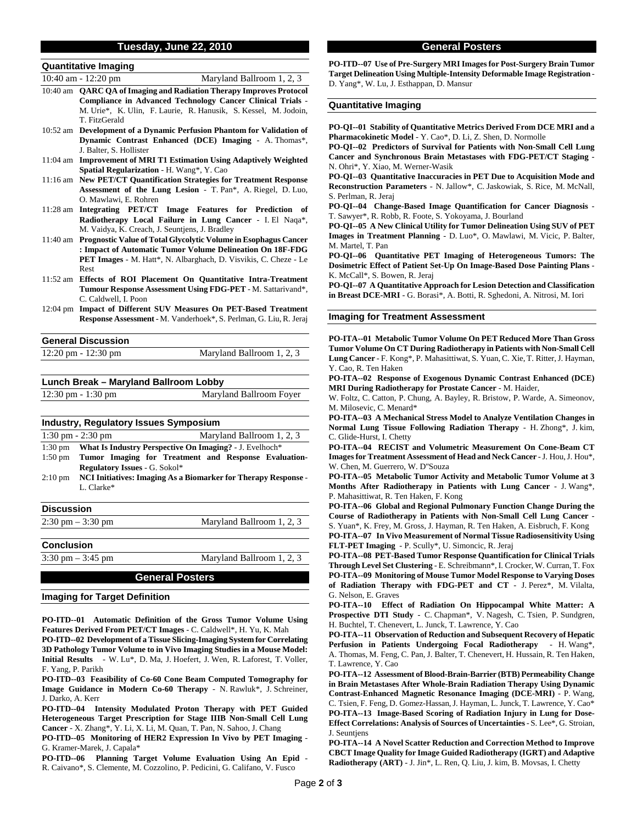#### **Tuesday, June 22, 2010**

| <b>Quantitative Imaging</b>  |                           |
|------------------------------|---------------------------|
| 10:40 am $-12:20 \text{ pm}$ | Maryland Ballroom 1, 2, 3 |

- 10:40 am **QARC QA of Imaging and Radiation Therapy Improves Protocol Compliance in Advanced Technology Cancer Clinical Trials** - M. Urie\*, K. Ulin, F. Laurie, R. Hanusik, S. Kessel, M. Jodoin, T. FitzGerald
- 10:52 am **Development of a Dynamic Perfusion Phantom for Validation of Dynamic Contrast Enhanced (DCE) Imaging** - A. Thomas\*, J. Balter, S. Hollister
- 11:04 am **Improvement of MRI T1 Estimation Using Adaptively Weighted Spatial Regularization** - H. Wang\*, Y. Cao
- 11:16 am **New PET/CT Quantification Strategies for Treatment Response Assessment of the Lung Lesion** - T. Pan\*, A. Riegel, D. Luo, O. Mawlawi, E. Rohren
- 11:28 am **Integrating PET/CT Image Features for Prediction of Radiotherapy Local Failure in Lung Cancer** - I. El Naqa\*, M. Vaidya, K. Creach, J. Seuntjens, J. Bradley
- 11:40 am **Prognostic Value of Total Glycolytic Volume in Esophagus Cancer : Impact of Automatic Tumor Volume Delineation On 18F-FDG PET Images** - M. Hatt\*, N. Albarghach, D. Visvikis, C. Cheze - Le Rest
- 11:52 am **Effects of ROI Placement On Quantitative Intra-Treatment Tumour Response Assessment Using FDG-PET** - M. Sattarivand\*, C. Caldwell, I. Poon
- 12:04 pm **Impact of Different SUV Measures On PET-Based Treatment Response Assessment** - M. Vanderhoek\*, S. Perlman, G. Liu, R. Jeraj

| <b>General Discussion</b> |                           |
|---------------------------|---------------------------|
| 12:20 pm - 12:30 pm       | Maryland Ballroom 1, 2, 3 |
|                           |                           |

**Lunch Break – Maryland Ballroom Lobby** 

| 12:30 pm - 1:30 pm |  |
|--------------------|--|
|--------------------|--|

| <b>Industry, Regulatory Issues Symposium</b> |                                      |                                                                |
|----------------------------------------------|--------------------------------------|----------------------------------------------------------------|
|                                              | $1:30$ pm $- 2:30$ pm                | Maryland Ballroom 1, 2, 3                                      |
| $1:30 \text{ pm}$                            |                                      | What Is Industry Perspective On Imaging? - J. Evelhoch*        |
| $1:50$ pm                                    |                                      | Tumor Imaging for Treatment and Response Evaluation-           |
|                                              | <b>Regulatory Issues - G. Sokol*</b> |                                                                |
| $2:10 \text{ pm}$                            |                                      | NCI Initiatives: Imaging As a Biomarker for Therapy Response - |
|                                              | L. Clarke*                           |                                                                |
| <b>Discussion</b>                            |                                      |                                                                |
|                                              | $2:30 \text{ pm} - 3:30 \text{ pm}$  | Maryland Ballroom 1, 2, 3                                      |
|                                              |                                      |                                                                |

**Conclusion** 

 $3:30 \text{ pm} - 3:45 \text{ pm}$  Maryland Ballroom 1, 2, 3

Maryland Ballroom Foyer

### **General Posters**

#### **Imaging for Target Definition**

**PO-ITD--01 Automatic Definition of the Gross Tumor Volume Using Features Derived From PET/CT Images** - C. Caldwell\*, H. Yu, K. Mah

**PO-ITD--02 Development of a Tissue Slicing-Imaging System for Correlating 3D Pathology Tumor Volume to in Vivo Imaging Studies in a Mouse Model: Initial Results** - W. Lu\*, D. Ma, J. Hoefert, J. Wen, R. Laforest, T. Voller, F. Yang, P. Parikh

**PO-ITD--03 Feasibility of Co-60 Cone Beam Computed Tomography for Image Guidance in Modern Co-60 Therapy** - N. Rawluk\*, J. Schreiner, J. Darko, A. Kerr

**PO-ITD--04 Intensity Modulated Proton Therapy with PET Guided Heterogeneous Target Prescription for Stage IIIB Non-Small Cell Lung Cancer** - X. Zhang\*, Y. Li, X. Li, M. Quan, T. Pan, N. Sahoo, J. Chang

**PO-ITD--05 Monitoring of HER2 Expression In Vivo by PET Imaging** - G. Kramer-Marek, J. Capala\*

**PO-ITD--06 Planning Target Volume Evaluation Using An Epid** - R. Caivano\*, S. Clemente, M. Cozzolino, P. Pedicini, G. Califano, V. Fusco

#### **General Posters**

**PO-ITD--07 Use of Pre-Surgery MRI Images for Post-Surgery Brain Tumor Target Delineation Using Multiple-Intensity Deformable Image Registration** - D. Yang\*, W. Lu, J. Esthappan, D. Mansur

#### **Quantitative Imaging**

**PO-QI--01 Stability of Quantitative Metrics Derived From DCE MRI and a Pharmacokinetic Model** - Y. Cao\*, D. Li, Z. Shen, D. Normolle

**PO-QI--02 Predictors of Survival for Patients with Non-Small Cell Lung Cancer and Synchronous Brain Metastases with FDG-PET/CT Staging** - N. Ohri\*, Y. Xiao, M. Werner-Wasik

**PO-QI--03 Quantitative Inaccuracies in PET Due to Acquisition Mode and Reconstruction Parameters** - N. Jallow\*, C. Jaskowiak, S. Rice, M. McNall, S. Perlman, R. Jeraj

**PO-QI--04 Change-Based Image Quantification for Cancer Diagnosis** - T. Sawyer\*, R. Robb, R. Foote, S. Yokoyama, J. Bourland

**PO-QI--05 A New Clinical Utility for Tumor Delineation Using SUV of PET Images in Treatment Planning** - D. Luo\*, O. Mawlawi, M. Vicic, P. Balter, M. Martel, T. Pan

**PO-QI--06 Quantitative PET Imaging of Heterogeneous Tumors: The Dosimetric Effect of Patient Set-Up On Image-Based Dose Painting Plans** - K. McCall\*, S. Bowen, R. Jeraj

**PO-QI--07 A Quantitative Approach for Lesion Detection and Classification in Breast DCE-MRI** - G. Borasi\*, A. Botti, R. Sghedoni, A. Nitrosi, M. Iori

#### **Imaging for Treatment Assessment**

**PO-ITA--01 Metabolic Tumor Volume On PET Reduced More Than Gross Tumor Volume On CT During Radiotherapy in Patients with Non-Small Cell Lung Cancer** - F. Kong\*, P. Mahasittiwat, S. Yuan, C. Xie, T. Ritter, J. Hayman, Y. Cao, R. Ten Haken

**PO-ITA--02 Response of Exogenous Dynamic Contrast Enhanced (DCE) MRI During Radiotherapy for Prostate Cancer** - M. Haider,

W. Foltz, C. Catton, P. Chung, A. Bayley, R. Bristow, P. Warde, A. Simeonov, M. Milosevic, C. Menard\*

**PO-ITA--03 A Mechanical Stress Model to Analyze Ventilation Changes in Normal Lung Tissue Following Radiation Therapy** - H. Zhong\*, J. kim, C. Glide-Hurst, I. Chetty

**PO-ITA--04 RECIST and Volumetric Measurement On Cone-Beam CT Images for Treatment Assessment of Head and Neck Cancer** - J. Hou, J. Hou\*, W. Chen, M. Guerrero, W. D''Souza

**PO-ITA--05 Metabolic Tumor Activity and Metabolic Tumor Volume at 3 Months After Radiotherapy in Patients with Lung Cancer** - J. Wang\*, P. Mahasittiwat, R. Ten Haken, F. Kong

**PO-ITA--06 Global and Regional Pulmonary Function Change During the Course of Radiotherapy in Patients with Non-Small Cell Lung Cancer** -

S. Yuan\*, K. Frey, M. Gross, J. Hayman, R. Ten Haken, A. Eisbruch, F. Kong **PO-ITA--07 In Vivo Measurement of Normal Tissue Radiosensitivity Using FLT-PET Imaging** - P. Scully\*, U. Simoncic, R. Jeraj

**PO-ITA--08 PET-Based Tumor Response Quantification for Clinical Trials Through Level Set Clustering** - E. Schreibmann\*, I. Crocker, W. Curran, T. Fox **PO-ITA--09 Monitoring of Mouse Tumor Model Response to Varying Doses of Radiation Therapy with FDG-PET and CT** - J. Perez\*, M. Vilalta, G. Nelson, E. Graves

**PO-ITA--10 Effect of Radiation On Hippocampal White Matter: A Prospective DTI Study** - C. Chapman\*, V. Nagesh, C. Tsien, P. Sundgren, H. Buchtel, T. Chenevert, L. Junck, T. Lawrence, Y. Cao

**PO-ITA--11 Observation of Reduction and Subsequent Recovery of Hepatic Perfusion in Patients Undergoing Focal Radiotherapy** - H. Wang\*, A. Thomas, M. Feng, C. Pan, J. Balter, T. Chenevert, H. Hussain, R. Ten Haken, T. Lawrence, Y. Cao

**PO-ITA--12 Assessment of Blood-Brain-Barrier (BTB) Permeability Change in Brain Metastases After Whole-Brain Radiation Therapy Using Dynamic Contrast-Enhanced Magnetic Resonance Imaging (DCE-MRI)** - P. Wang, C. Tsien, F. Feng, D. Gomez-Hassan, J. Hayman, L. Junck, T. Lawrence, Y. Cao\* **PO-ITA--13 Image-Based Scoring of Radiation Injury in Lung for Dose-Effect Correlations: Analysis of Sources of Uncertainties** - S. Lee\*, G. Stroian, J. Seuntiens

**PO-ITA--14 A Novel Scatter Reduction and Correction Method to Improve CBCT Image Quality for Image Guided Radiotherapy (IGRT) and Adaptive Radiotherapy (ART)** - J. Jin\*, L. Ren, Q. Liu, J. kim, B. Movsas, I. Chetty